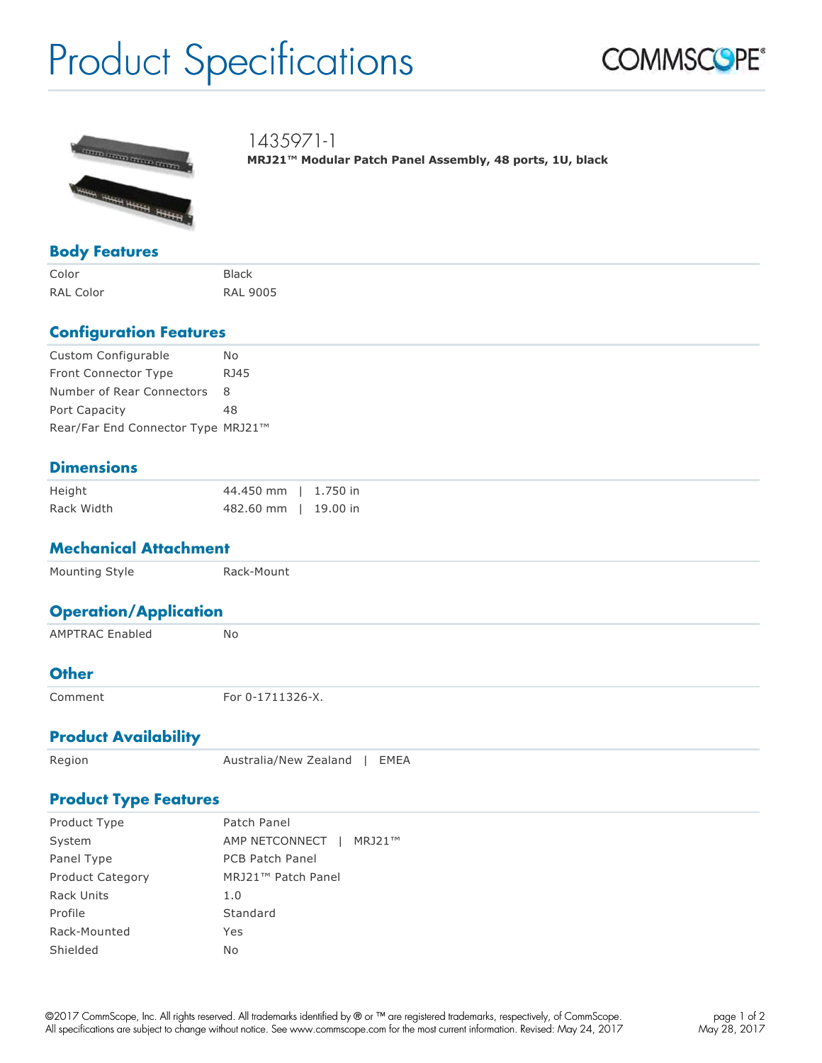# Product Specifications





1435971-1

**MRJ21™ Modular Patch Panel Assembly, 48 ports, 1U, black**

#### **Body Features**

Color Black RAL Color RAL 9005

## **Configuration Features**

| Custom Configurable                | No.  |
|------------------------------------|------|
| <b>Front Connector Type</b>        | RJ45 |
| Number of Rear Connectors 8        |      |
| Port Capacity                      | 48   |
| Rear/Far End Connector Type MRJ21™ |      |

## **Dimensions**

| Height     | 44.450 mm   1.750 in |  |
|------------|----------------------|--|
| Rack Width | 482.60 mm   19.00 in |  |

#### **Mechanical Attachment**

| Mounting Style               | Rack-Mount |
|------------------------------|------------|
| <b>Operation/Application</b> |            |
| <b>AMPTRAC Enabled</b>       | No         |
| $\sim$ $\sim$ $\sim$ $\sim$  |            |

#### **Other**

Comment **For 0-1711326-X**.

## **Product Availability**

Region **Australia/New Zealand | EMEA** 

#### **Product Type Features**

| Product Type            | Patch Panel                    |
|-------------------------|--------------------------------|
| System                  | AMP NETCONNECT  <br>MRJ21™     |
| Panel Type              | <b>PCB Patch Panel</b>         |
| <b>Product Category</b> | MRJ21 <sup>™</sup> Patch Panel |
| Rack Units              | 1.0                            |
| Profile                 | Standard                       |
| Rack-Mounted            | Yes                            |
| Shielded                | No                             |